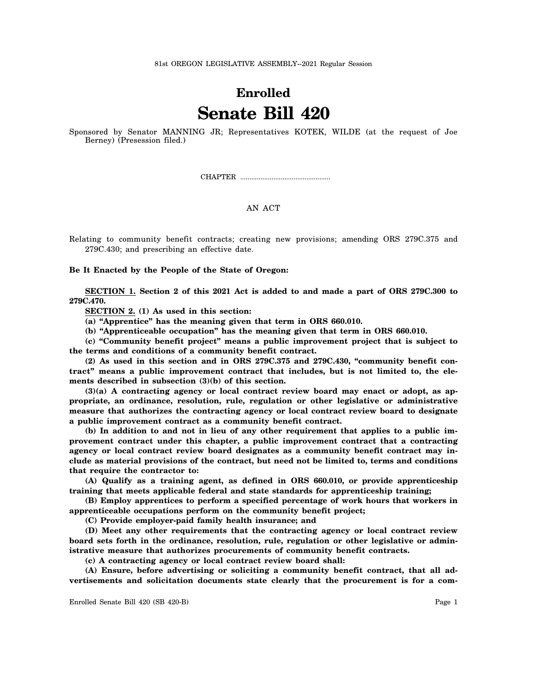81st OREGON LEGISLATIVE ASSEMBLY--2021 Regular Session

## **Enrolled Senate Bill 420**

Sponsored by Senator MANNING JR; Representatives KOTEK, WILDE (at the request of Joe Berney) (Presession filed.)

CHAPTER .................................................

## AN ACT

Relating to community benefit contracts; creating new provisions; amending ORS 279C.375 and 279C.430; and prescribing an effective date.

**Be It Enacted by the People of the State of Oregon:**

**SECTION 1. Section 2 of this 2021 Act is added to and made a part of ORS 279C.300 to 279C.470.**

**SECTION 2. (1) As used in this section:**

**(a) "Apprentice" has the meaning given that term in ORS 660.010.**

**(b) "Apprenticeable occupation" has the meaning given that term in ORS 660.010.**

**(c) "Community benefit project" means a public improvement project that is subject to the terms and conditions of a community benefit contract.**

**(2) As used in this section and in ORS 279C.375 and 279C.430, "community benefit contract" means a public improvement contract that includes, but is not limited to, the elements described in subsection (3)(b) of this section.**

**(3)(a) A contracting agency or local contract review board may enact or adopt, as appropriate, an ordinance, resolution, rule, regulation or other legislative or administrative measure that authorizes the contracting agency or local contract review board to designate a public improvement contract as a community benefit contract.**

**(b) In addition to and not in lieu of any other requirement that applies to a public improvement contract under this chapter, a public improvement contract that a contracting agency or local contract review board designates as a community benefit contract may include as material provisions of the contract, but need not be limited to, terms and conditions that require the contractor to:**

**(A) Qualify as a training agent, as defined in ORS 660.010, or provide apprenticeship training that meets applicable federal and state standards for apprenticeship training;**

**(B) Employ apprentices to perform a specified percentage of work hours that workers in apprenticeable occupations perform on the community benefit project;**

**(C) Provide employer-paid family health insurance; and**

**(D) Meet any other requirements that the contracting agency or local contract review board sets forth in the ordinance, resolution, rule, regulation or other legislative or administrative measure that authorizes procurements of community benefit contracts.**

**(c) A contracting agency or local contract review board shall:**

**(A) Ensure, before advertising or soliciting a community benefit contract, that all advertisements and solicitation documents state clearly that the procurement is for a com-**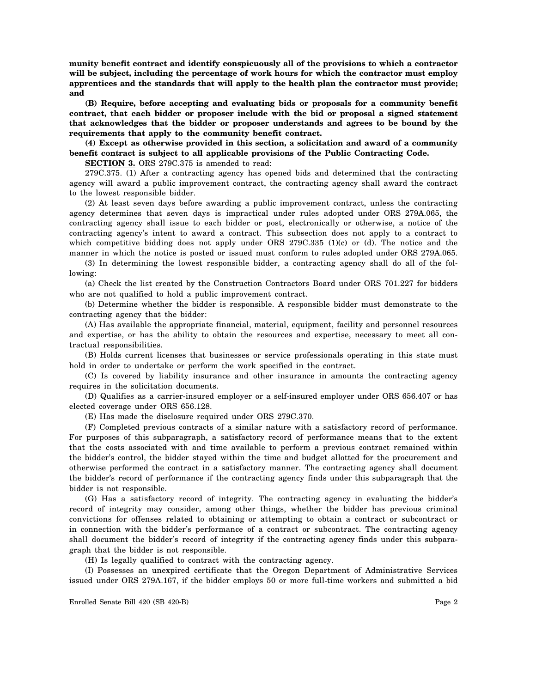**munity benefit contract and identify conspicuously all of the provisions to which a contractor will be subject, including the percentage of work hours for which the contractor must employ apprentices and the standards that will apply to the health plan the contractor must provide; and**

**(B) Require, before accepting and evaluating bids or proposals for a community benefit contract, that each bidder or proposer include with the bid or proposal a signed statement that acknowledges that the bidder or proposer understands and agrees to be bound by the requirements that apply to the community benefit contract.**

**(4) Except as otherwise provided in this section, a solicitation and award of a community benefit contract is subject to all applicable provisions of the Public Contracting Code.**

**SECTION 3.** ORS 279C.375 is amended to read:

279C.375. (1) After a contracting agency has opened bids and determined that the contracting agency will award a public improvement contract, the contracting agency shall award the contract to the lowest responsible bidder.

(2) At least seven days before awarding a public improvement contract, unless the contracting agency determines that seven days is impractical under rules adopted under ORS 279A.065, the contracting agency shall issue to each bidder or post, electronically or otherwise, a notice of the contracting agency's intent to award a contract. This subsection does not apply to a contract to which competitive bidding does not apply under ORS 279C.335 (1)(c) or (d). The notice and the manner in which the notice is posted or issued must conform to rules adopted under ORS 279A.065.

(3) In determining the lowest responsible bidder, a contracting agency shall do all of the following:

(a) Check the list created by the Construction Contractors Board under ORS 701.227 for bidders who are not qualified to hold a public improvement contract.

(b) Determine whether the bidder is responsible. A responsible bidder must demonstrate to the contracting agency that the bidder:

(A) Has available the appropriate financial, material, equipment, facility and personnel resources and expertise, or has the ability to obtain the resources and expertise, necessary to meet all contractual responsibilities.

(B) Holds current licenses that businesses or service professionals operating in this state must hold in order to undertake or perform the work specified in the contract.

(C) Is covered by liability insurance and other insurance in amounts the contracting agency requires in the solicitation documents.

(D) Qualifies as a carrier-insured employer or a self-insured employer under ORS 656.407 or has elected coverage under ORS 656.128.

(E) Has made the disclosure required under ORS 279C.370.

(F) Completed previous contracts of a similar nature with a satisfactory record of performance. For purposes of this subparagraph, a satisfactory record of performance means that to the extent that the costs associated with and time available to perform a previous contract remained within the bidder's control, the bidder stayed within the time and budget allotted for the procurement and otherwise performed the contract in a satisfactory manner. The contracting agency shall document the bidder's record of performance if the contracting agency finds under this subparagraph that the bidder is not responsible.

(G) Has a satisfactory record of integrity. The contracting agency in evaluating the bidder's record of integrity may consider, among other things, whether the bidder has previous criminal convictions for offenses related to obtaining or attempting to obtain a contract or subcontract or in connection with the bidder's performance of a contract or subcontract. The contracting agency shall document the bidder's record of integrity if the contracting agency finds under this subparagraph that the bidder is not responsible.

(H) Is legally qualified to contract with the contracting agency.

(I) Possesses an unexpired certificate that the Oregon Department of Administrative Services issued under ORS 279A.167, if the bidder employs 50 or more full-time workers and submitted a bid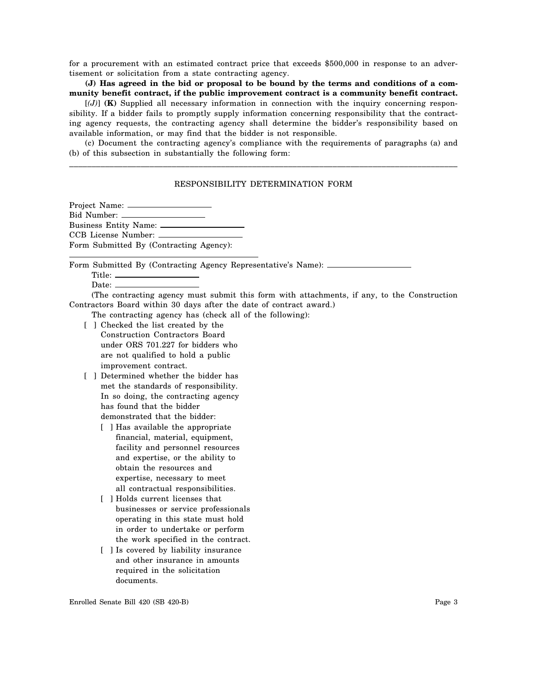for a procurement with an estimated contract price that exceeds \$500,000 in response to an advertisement or solicitation from a state contracting agency.

**(J) Has agreed in the bid or proposal to be bound by the terms and conditions of a community benefit contract, if the public improvement contract is a community benefit contract.**

[*(J)*] **(K)** Supplied all necessary information in connection with the inquiry concerning responsibility. If a bidder fails to promptly supply information concerning responsibility that the contracting agency requests, the contracting agency shall determine the bidder's responsibility based on available information, or may find that the bidder is not responsible.

(c) Document the contracting agency's compliance with the requirements of paragraphs (a) and (b) of this subsection in substantially the following form: \_\_\_\_\_\_\_\_\_\_\_\_\_\_\_\_\_\_\_\_\_\_\_\_\_\_\_\_\_\_\_\_\_\_\_\_\_\_\_\_\_\_\_\_\_\_\_\_\_\_\_\_\_\_\_\_\_\_\_\_\_\_\_\_\_\_\_\_\_\_\_\_\_\_\_\_\_\_\_\_\_\_\_\_\_\_\_

## RESPONSIBILITY DETERMINATION FORM

Project Name: Bid Number: Business Entity Name: CCB License Number: Form Submitted By (Contracting Agency):

Form Submitted By (Contracting Agency Representative's Name):

| Title: |  |
|--------|--|
| Date:  |  |

(The contracting agency must submit this form with attachments, if any, to the Construction Contractors Board within 30 days after the date of contract award.)

The contracting agency has (check all of the following):

- [ ] Checked the list created by the Construction Contractors Board under ORS 701.227 for bidders who are not qualified to hold a public improvement contract.
- [ ] Determined whether the bidder has met the standards of responsibility. In so doing, the contracting agency has found that the bidder demonstrated that the bidder:
	- [ ] Has available the appropriate financial, material, equipment, facility and personnel resources and expertise, or the ability to obtain the resources and expertise, necessary to meet all contractual responsibilities.
	- [ ] Holds current licenses that businesses or service professionals operating in this state must hold in order to undertake or perform the work specified in the contract.
	- [ ] Is covered by liability insurance and other insurance in amounts required in the solicitation documents.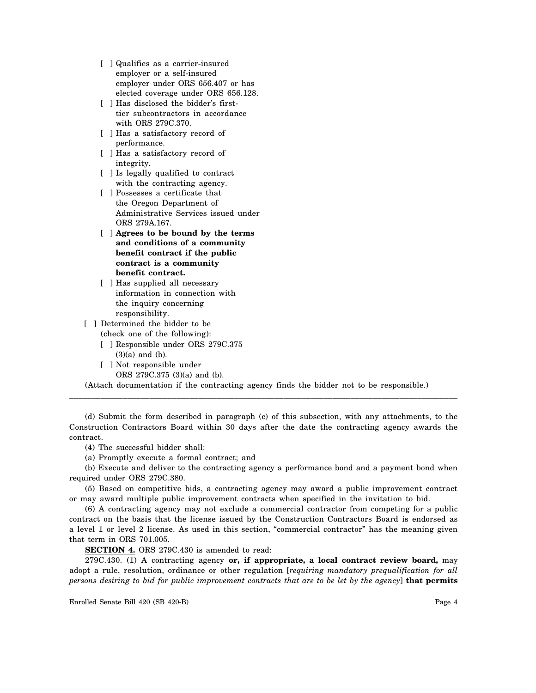- [ ] Qualifies as a carrier-insured employer or a self-insured employer under ORS 656.407 or has elected coverage under ORS 656.128.
- [ ] Has disclosed the bidder's firsttier subcontractors in accordance with ORS 279C.370.
- [ ] Has a satisfactory record of performance.
- [ ] Has a satisfactory record of integrity.
- [ ] Is legally qualified to contract with the contracting agency.
- [ ] Possesses a certificate that the Oregon Department of Administrative Services issued under ORS 279A.167.
- [ ] **Agrees to be bound by the terms and conditions of a community benefit contract if the public contract is a community benefit contract.**
- [ ] Has supplied all necessary information in connection with the inquiry concerning responsibility.
- [ ] Determined the bidder to be (check one of the following):
	- [ ] Responsible under ORS 279C.375 (3)(a) and (b).
	- [ ] Not responsible under ORS 279C.375 (3)(a) and (b).

(Attach documentation if the contracting agency finds the bidder not to be responsible.)

(d) Submit the form described in paragraph (c) of this subsection, with any attachments, to the Construction Contractors Board within 30 days after the date the contracting agency awards the contract.

\_\_\_\_\_\_\_\_\_\_\_\_\_\_\_\_\_\_\_\_\_\_\_\_\_\_\_\_\_\_\_\_\_\_\_\_\_\_\_\_\_\_\_\_\_\_\_\_\_\_\_\_\_\_\_\_\_\_\_\_\_\_\_\_\_\_\_\_\_\_\_\_\_\_\_\_\_\_\_\_\_\_\_\_\_\_\_

(4) The successful bidder shall:

(a) Promptly execute a formal contract; and

(b) Execute and deliver to the contracting agency a performance bond and a payment bond when required under ORS 279C.380.

(5) Based on competitive bids, a contracting agency may award a public improvement contract or may award multiple public improvement contracts when specified in the invitation to bid.

(6) A contracting agency may not exclude a commercial contractor from competing for a public contract on the basis that the license issued by the Construction Contractors Board is endorsed as a level 1 or level 2 license. As used in this section, "commercial contractor" has the meaning given that term in ORS 701.005.

**SECTION 4.** ORS 279C.430 is amended to read:

279C.430. (1) A contracting agency **or, if appropriate, a local contract review board,** may adopt a rule, resolution, ordinance or other regulation [*requiring mandatory prequalification for all persons desiring to bid for public improvement contracts that are to be let by the agency*] **that permits**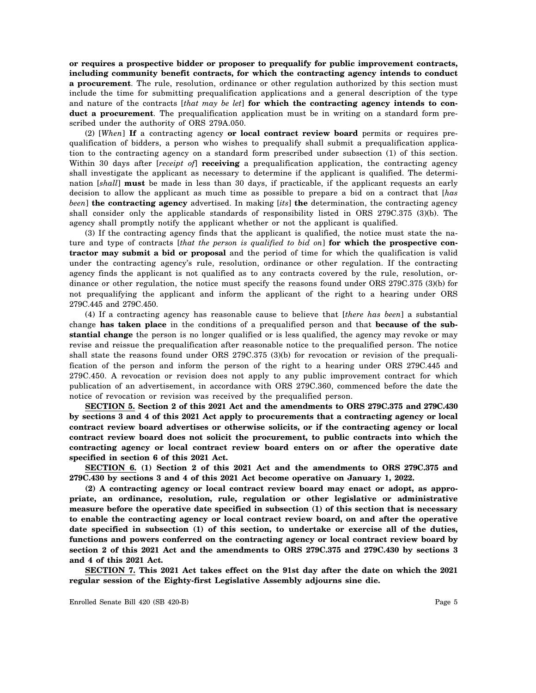**or requires a prospective bidder or proposer to prequalify for public improvement contracts, including community benefit contracts, for which the contracting agency intends to conduct a procurement**. The rule, resolution, ordinance or other regulation authorized by this section must include the time for submitting prequalification applications and a general description of the type and nature of the contracts [*that may be let*] **for which the contracting agency intends to conduct a procurement**. The prequalification application must be in writing on a standard form prescribed under the authority of ORS 279A.050.

(2) [*When*] **If** a contracting agency **or local contract review board** permits or requires prequalification of bidders, a person who wishes to prequalify shall submit a prequalification application to the contracting agency on a standard form prescribed under subsection (1) of this section. Within 30 days after [*receipt of*] **receiving** a prequalification application, the contracting agency shall investigate the applicant as necessary to determine if the applicant is qualified. The determination [*shall*] **must** be made in less than 30 days, if practicable, if the applicant requests an early decision to allow the applicant as much time as possible to prepare a bid on a contract that [*has been*] **the contracting agency** advertised. In making [*its*] **the** determination, the contracting agency shall consider only the applicable standards of responsibility listed in ORS 279C.375 (3)(b). The agency shall promptly notify the applicant whether or not the applicant is qualified.

(3) If the contracting agency finds that the applicant is qualified, the notice must state the nature and type of contracts [*that the person is qualified to bid on*] **for which the prospective contractor may submit a bid or proposal** and the period of time for which the qualification is valid under the contracting agency's rule, resolution, ordinance or other regulation. If the contracting agency finds the applicant is not qualified as to any contracts covered by the rule, resolution, ordinance or other regulation, the notice must specify the reasons found under ORS 279C.375 (3)(b) for not prequalifying the applicant and inform the applicant of the right to a hearing under ORS 279C.445 and 279C.450.

(4) If a contracting agency has reasonable cause to believe that [*there has been*] a substantial change **has taken place** in the conditions of a prequalified person and that **because of the substantial change** the person is no longer qualified or is less qualified, the agency may revoke or may revise and reissue the prequalification after reasonable notice to the prequalified person. The notice shall state the reasons found under ORS 279C.375 (3)(b) for revocation or revision of the prequalification of the person and inform the person of the right to a hearing under ORS 279C.445 and 279C.450. A revocation or revision does not apply to any public improvement contract for which publication of an advertisement, in accordance with ORS 279C.360, commenced before the date the notice of revocation or revision was received by the prequalified person.

**SECTION 5. Section 2 of this 2021 Act and the amendments to ORS 279C.375 and 279C.430 by sections 3 and 4 of this 2021 Act apply to procurements that a contracting agency or local contract review board advertises or otherwise solicits, or if the contracting agency or local contract review board does not solicit the procurement, to public contracts into which the contracting agency or local contract review board enters on or after the operative date specified in section 6 of this 2021 Act.**

**SECTION 6. (1) Section 2 of this 2021 Act and the amendments to ORS 279C.375 and 279C.430 by sections 3 and 4 of this 2021 Act become operative on January 1, 2022.**

**(2) A contracting agency or local contract review board may enact or adopt, as appropriate, an ordinance, resolution, rule, regulation or other legislative or administrative measure before the operative date specified in subsection (1) of this section that is necessary to enable the contracting agency or local contract review board, on and after the operative date specified in subsection (1) of this section, to undertake or exercise all of the duties, functions and powers conferred on the contracting agency or local contract review board by section 2 of this 2021 Act and the amendments to ORS 279C.375 and 279C.430 by sections 3 and 4 of this 2021 Act.**

**SECTION 7. This 2021 Act takes effect on the 91st day after the date on which the 2021 regular session of the Eighty-first Legislative Assembly adjourns sine die.**